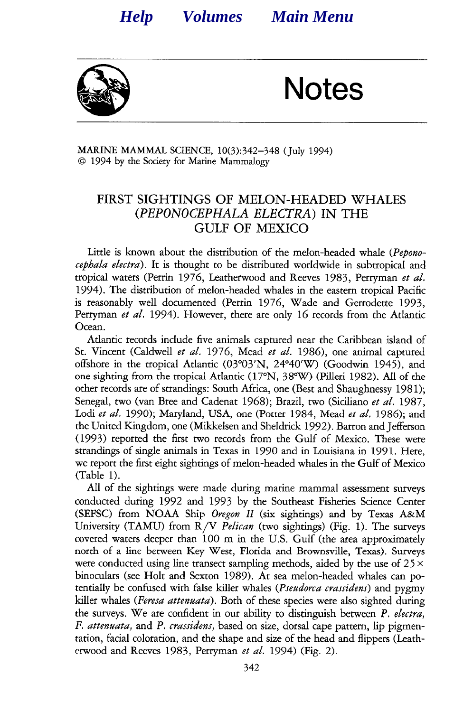<span id="page-0-0"></span>

Notes

MARINE MAMMAL SCIENCE, 10(3):342-348 (July 1994) 0 1994 by the Society for Marine Mammalogy

#### **FIRST SIGHTINGS OF MELON-HEADED WHALES**  *(PEPONOCEPHALA ELECTRA)* **IN THE GULF OF MEXICO**

Little is known about the distribution of the melon-headed whale *(Pepono*cephala electra). It is thought to be distributed worldwide in subtropical and tropical waters (Perrin 1976, Leatherwood and Reeves 1983, Perryman et al. 1994). The distribution of melon-headed whales in the eastern tropical Pacific is reasonably well documented (Perrin 1976, Wade and Gerrodette 1993, Perryman et al. 1994). However, there are only 16 records from the Atlantic Ocean.

Atlantic records include five animals captured near the Caribbean island of St. Vincent (Caldwell et al. 1976, Mead et al. 1986), one animal captured offshore in the tropical Atlantic (03"03'N, 24'4O'W) (Goodwin 1945), and one sighting from the tropical Atlantic (17"N, 3S"W) (Pilleri 1982). All of the other records are of strandings: South Africa, one (Best and Shaughnessy 1981); Senegal, two (van Bree and Cadenat 1968); Brazil, two (Siciliano et al. 1987, Lodi et al. 1990); Maryland, USA, one (Potter 1984, Mead et al. 1986); and the United Kingdom, one (Mikkelsen and Sheldrick 1992). Barron and Jefferson (1993) reported the first two records from the Gulf of Mexico. These were strandings of single animals in Texas in 1990 and in Louisiana in 1991. Here, we report the first eight sightings of melon-headed whales in the Gulf of Mexico (Table 1).

All of the sightings were made during marine mammal assessment surveys conducted during 1992 and 1993 by the Southeast Fisheries Science Center (SEFSC) from NOAA Ship Oregon II (six sightings) and by Texas A&M University (TAMU) from  $R/V$  *Pelican* (two sightings) (Fig. 1). The surveys covered waters deeper than 100 m in the U.S. Gulf (the area approximately north of a line between Key West, Florida and Brownsville, Texas). Surveys were conducted using line transect sampling methods, aided by the use of  $25 \times$ binoculars (see Holt and Sexton 1989). At sea melon-headed whales can potentially be confused with false killer whales *(Pseudorca crassidens)* and pygmy killer whales (Feresa attenuata). Both of these species were also sighted during the surveys. We are confident in our ability to distinguish between *P.* electra, *F. attenuata,* and *P.* crassidens, based on size, dorsal cape pattern, lip pigmentation, facial coloration, and the shape and size of the head and flippers (Leatherwood and Reeves 1983, Perryman *et al.* 1994) (Fig. 2).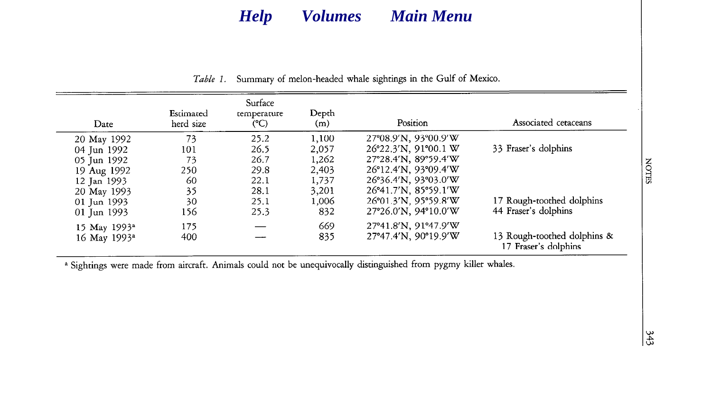| Date                     | Estimated<br>herd size | Surface<br>temperature<br>(C) | Depth<br>(m) | Position                                                 | Associated cetaceans                                |
|--------------------------|------------------------|-------------------------------|--------------|----------------------------------------------------------|-----------------------------------------------------|
| 20 May 1992              | 73                     | 25.2                          | 1,100        | 27°08.9'N, 93°00.9'W                                     |                                                     |
| 04 Jun 1992              | 101                    | 26.5                          | 2,057        | 26°22.3'N, 91°00.1 W                                     | 33 Fraser's dolphins                                |
| 05 Jun 1992              | 73                     | 26.7                          | 1,262        | 27°28.4'N, 89°59.4'W                                     |                                                     |
| 19 Aug 1992              | 250                    | 29.8                          | 2,403        | 26°12.4'N, 93°09.4'W                                     |                                                     |
| 12 Jan 1993              | 60                     | 22.1                          | 1,737        | 26°36.4'N, 93°03.0'W                                     |                                                     |
| 20 May 1993              | 35                     | 28.1                          | 3,201        | 26°41.7'N, 85°59.1'W                                     |                                                     |
| 01 Jun 1993              | 30                     | 25.1                          | 1.006        | 26°01.3'N, 95°59.8'W                                     | 17 Rough-toothed dolphins                           |
| 01 Jun 1993              | 156                    | 25.3                          | 832          | $27^{\circ}26.0^{\prime}N$ , $94^{\circ}10.0^{\prime}W$  | 44 Fraser's dolphins                                |
| 15 May 1993 <sup>a</sup> | 175                    |                               | 669          | 27°41.8'N, 91°47.9'W                                     |                                                     |
| 16 May 1993 <sup>a</sup> | 400                    |                               | 835          | $27^{\circ}47.4^{\prime}N$ , 90 $^{\circ}19.9^{\prime}W$ | 13 Rough-toothed dolphins &<br>17 Fraser's dolphins |

*Table 1.* Summary of melon-headed whale sightings in the Gulf of Mexico.

a Sightings were made from aircraft. Animals could not be unequivocally distinguished from pygmy killer whales.

NOTES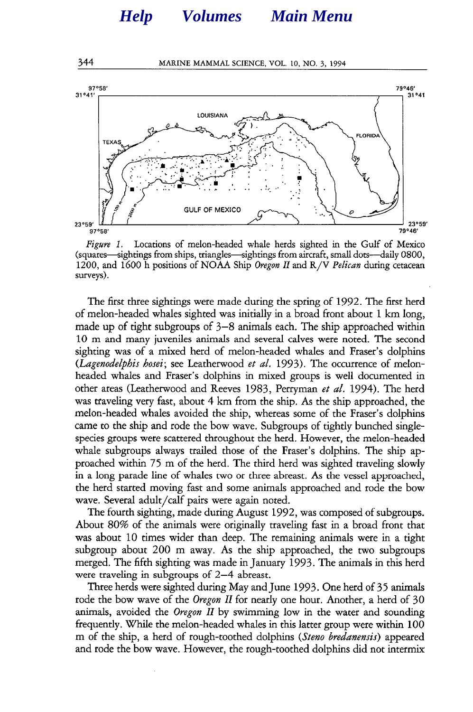

*Figure 1.* Locations of melon-headed whale herds sighted in the Gulf of Mexico (squares—sightings from ships, triangles—sightings from aircraft, small dots—daily 0800, 1200, and 1600 h positions of NOAA Ship *Oregon II* and R/V *Pehcan* during cetacean surveys).

The first three sightings were made during the spring of 1992. The first herd of melon-headed whales sighted was initially in a broad front about 1 km long, made up of tight subgroups of 3-8 animals each. The ship approached within 10 m and many juveniles animals and several calves were noted. The second sighting was of a mixed herd of melon-headed whales and Fraser's dolphins *(Lagenodelphis* hosei; see Leatherwood et al. 1993). The occurrence of melonheaded whales and Fraser's dolphins in mixed groups is well documented in other areas (Leather-wood and Reeves 1983, Perryman *et* al. 1994). The herd was traveling very fast, about 4 km from the ship. As the ship approached, the melon-headed whales avoided the ship, whereas some of the Fraser's dolphins came to the ship and rode the bow wave. Subgroups of tightly bunched singlespecies groups were scattered throughout the herd. However, the melon-headed whale subgroups always trailed those of the Fraser's dolphins. The ship approached within 75 m of the herd. The third herd was sighted traveling slowly in a long parade line of whales two or three abreast. As the vessel approached, the herd started moving fast and some animals approached and rode the bow wave. Several adult/calf pairs were again noted.

The fourth sighting, made during August 1992, was composed of subgroups. About 80% of the animals were originally traveling fast in a broad front that was about 10 times wider than deep. The remaining animals were in a tight subgroup about 200 m away. As the ship approached, the two subgroups merged. The fifth sighting was made in January 1993. The animals in this herd were traveling in subgroups of 2-4 abreast.

Three herds were sighted during May and June 1993. One herd of 35 animals rode the bow wave of the Oregon II for nearly one hour. Another, a herd of 30 animals, avoided the Oregon II by swimming low in the water and sounding frequently. While the melon-headed whales in this latter group were within 100 m of the ship, a herd of rough-toothed dolphins *(Steno bredanensis)* appeared and rode the bow wave. However, the rough-toothed dolphins did not intermix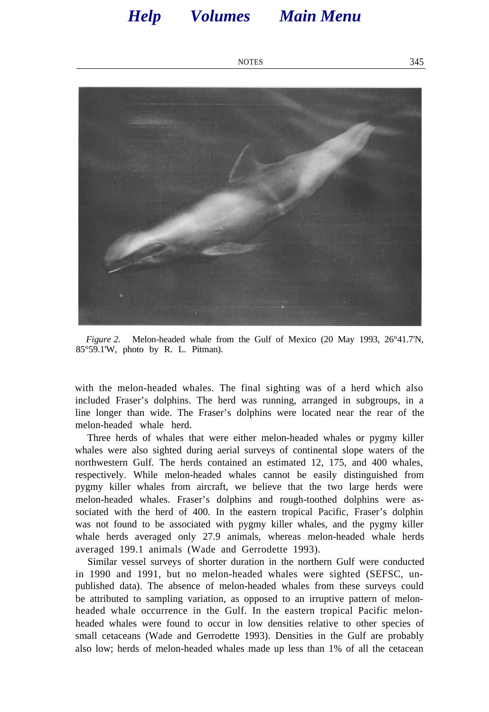NOTES 345

<span id="page-3-0"></span>

*Figure 2.* Melon-headed whale from the Gulf of Mexico (20 May 1993, 26°41.7'N, 85°59.1'W, photo by R. L. Pitman).

with the melon-headed whales. The final sighting was of a herd which also included Fraser's dolphins. The herd was running, arranged in subgroups, in a line longer than wide. The Fraser's dolphins were located near the rear of the melon-headed whale herd.

Three herds of whales that were either melon-headed whales or pygmy killer whales were also sighted during aerial surveys of continental slope waters of the northwestern Gulf. The herds contained an estimated 12, 175, and 400 whales, respectively. While melon-headed whales cannot be easily distinguished from pygmy killer whales from aircraft, we believe that the two large herds were melon-headed whales. Fraser's dolphins and rough-toothed dolphins were associated with the herd of 400. In the eastern tropical Pacific, Fraser's dolphin was not found to be associated with pygmy killer whales, and the pygmy killer whale herds averaged only 27.9 animals, whereas melon-headed whale herds averaged 199.1 animals (Wade and Gerrodette 1993).

Similar vessel surveys of shorter duration in the northern Gulf were conducted in 1990 and 1991, but no melon-headed whales were sighted (SEFSC, unpublished data). The absence of melon-headed whales from these surveys could be attributed to sampling variation, as opposed to an irruptive pattern of melonheaded whale occurrence in the Gulf. In the eastern tropical Pacific melonheaded whales were found to occur in low densities relative to other species of small cetaceans (Wade and Gerrodette 1993). Densities in the Gulf are probably also low; herds of melon-headed whales made up less than 1% of all the cetacean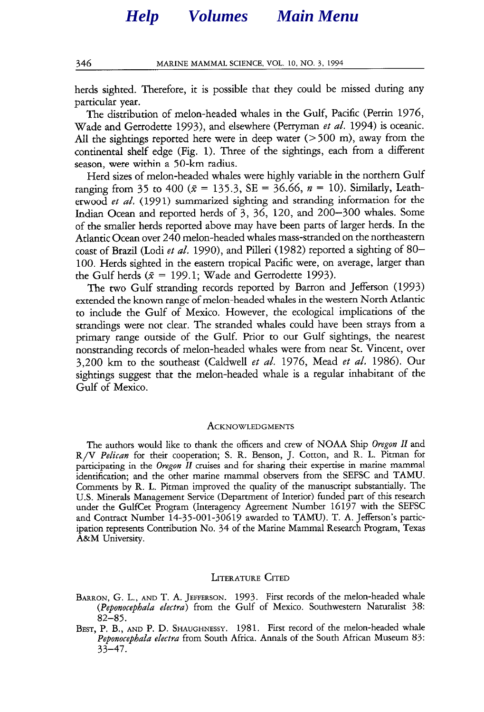herds sighted. Therefore, it is possible that they could be missed during any particular year.

The distribution of melon-headed whales in the Gulf, Pacific (Perrin 1976, Wade and Gerrodette 1993), and elsewhere (Perryman et al. 1994) is oceanic. All the sightings reported here were in deep water  $($ >500 m), away from the continental shelf edge (Fig. 1). Three of the sightings, each from a different season, were within a 50-km radius.

Herd sizes of melon-headed whales were highly variable in the northern Gulf ranging from 35 to 400 ( $\bar{x}$  = 135.3, SE = 36.66, n = 10). Similarly, Leatherwood et al. (1991) summarized sighting and stranding information for the Indian Ocean and reported herds of 3, 36, 120, and 200-300 whales. Some of the smaller herds reported above may have been parts of larger herds. In the Atlantic Ocean over 240 melon-headed whales mass-stranded on the northeastern coast of Brazil (Lodi *et al.* 1990), and Pilleri (1982) reported a sighting of 80-100. Herds sighted in the eastern tropical Pacific were, on average, larger than the Gulf herds ( $\bar{x} = 199.1$ ; Wade and Gerrodette 1993).

The two Gulf stranding records reported by Barron and Jefferson (1993) extended the known range of melon-headed whales in the western North Atlantic to include the Gulf of Mexico. However, the ecological implications of the strandings were not clear. The stranded whales could have been strays from a primary range outside of the Gulf. Prior to our Gulf sightings, the nearest nonstranding records of melon-headed whales were from near St. Vincent, over 3,200 km to the southeast (Caldwell et al. 1976, Mead et al. 1986). Our sightings suggest that the melon-headed whale is a regular inhabitant of the Gulf of Mexico.

#### **ACKNOWLEDGMENTS**

The authors would like to thank the officers and crew of NOAA Ship Oregon II and R/V *Pelican* for their cooperation; S. R. Benson, J. Cotton, and R. L. Pitman for participating in the Oregon II cruises and for sharing their expertise in marine mammal identification; and the other marine mammal observers from the SEFSC and TAMU. Comments by R. L. Pitman improved the quality of the manuscript substantially. The U.S. Minerals Management Service (Department of Interior) funded part of this research under the GulfCet Program (Interagency Agreement Number 16197 with the SEFSC and Contract Number 14-35-001-30619 awarded to TAMU). T. A. Jefferson's participation represents Contribution No. 34 of the Marine Mammal Research Program, Texas A&M University.

#### **LITERATURE CITED**

- **BARRON,** G. **L., AND** T. A. **JEFFERSON.** 1993. First records of the melon-headed whale (Peponocephala electra) from the Gulf of Mexico. Southwestern Naturalist *38: 82-85.*
- **BEST,** P. B., **AND** P. D. **SHAUGHNESSY.** 1981. First record of the melon-headed whale *Peponocephala* electra from South Africa. Annals of the South African Museum 83: *33-47.*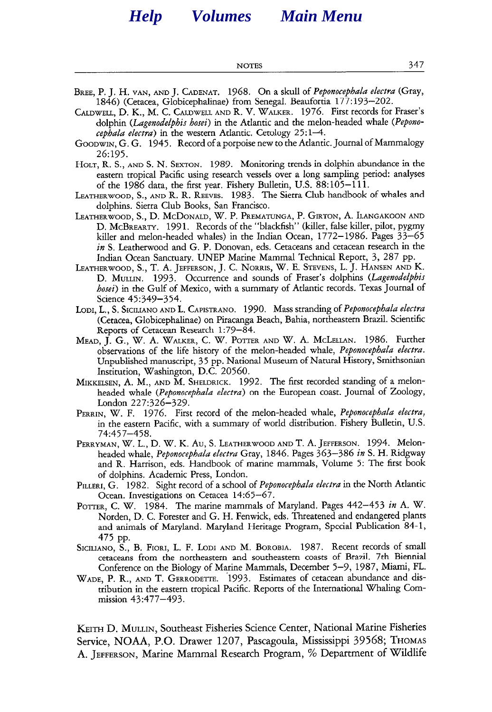**NOTES** *347* 

- **BREE,** P. J. H. **VAN, AND** J. **CADENAT.** 1968. On *a* skull of *Peponocephala electra* (Gray, 1846) (Cetacea, Globicephalinae) from Senegal. Beaufortia 177: 193-202.
- **CALDWELL,** D. K., M. C. **CALDWELL AND** R. V. **WALKER.** 1976. First records for Fraser's dolphin *(Lagenodelphis* hosei) in the Atlantic and the melon-headed whale *(Pepono*cephala electra) in the western Atlantic. Cetology  $25:1-4$ .
- **GOODWIN,** G. G. 1945. Record of a porpoise new to the Atlantic. Journal of Mammalogy *26:195.*
- **HOLT,** R. S., **AND** *S. N.* **SEXTON.** 1989. Monitoring trends in dolphin abundance in the eastern tropical Pacific using research vessels over a long sampling period: analyses of the 1986 data, the first year. Fishery Bulletin, U.S. 88:105-111.
- **LEATHERWOOD,** *S.,* **AND** R. R. **REEVES.** 1983. The Sierra Club handbook of whales and dolphins. Sierra Club Books, San Francisco.
- **LEATHERWOOD,** S., D. **MCDONALD,** W. P. **PREMATUNGA,** P. **GIRTON,** A. **ILANGAKOON AND D. MCBREARTY.** 1991. Records of the "blackfish" (killer, false killer, pilot, pygmy killer and melon-headed whales) in the Indian Ocean, 1772-1986. Pages 33-65  $in S$ . Leatherwood and G. P. Donovan, eds. Cetaceans and cetacean research in the Indian Ocean Sanctuary. UNEP Marine Mammal Technical Report, 3, 287 pp.
- **LEATHERWOOD,** S., T. A. **JEFFERSON,** J. C. **NORRIS,** W. E. **STEVENS,** L. J. **HANSEN AND** K. D. **MULLIN.** 1993. Occurrence and sounds of Fraser's dolphins (Lagenodelphis hosei) in the Gulf of Mexico, with a summary of Atlantic records. Texas Journal of Science 45:349-354.
- **LODI,** L., S. **SICILIANO AND** L. **CAPISTRANO.** 1990. Mass stranding of Peponocephala electra (Cetacea, Globicephalinae) on Piracanga Beach, Bahia, northeastern Brazil. Scientific Reports of Cetacean Research 1:79-84.
- **MEAD,** J. G., W. A. **WALKER,** C. W. **POTTER AND** W. A. **MCLELLAN.** 1986. Further observations of the life history of the melon-headed whale, *Peponocephala electra.*  Unpublished manuscript, 35 pp. National Museum of Natural History, Smithsonian Institution, Washington, D.C. 20560.
- **MIKKELSEN,** A. M., **AND** M. **SHELDRICK.** 1992. The first recorded standing of a melonheaded whale *(Peponocephala* electra) on the European coast. Journal of Zoology, London 227:326-329.
- **PERRIN,** W. F. 1976. First record of the melon-headed whale, Peponocephala electra, in the eastern Pacific, with a summary of world distribution. Fishery Bulletin, U.S. *74:457-458.*
- **PERRYMAN,** W. L., D. W. K. Au, S. **LEATHERWOOD AND** T. A. **JEFFERSON.** 1994. Melonheaded whale, Peponocephala *electra* Gray, 1846. Pages 363-386 in S. H. Ridgway and R. Harrison, eds. Handbook of marine mammals, Volume 5: The first book of dolphins. Academic Press, London.
- **PILLERI,** G. 1982. Sight record of a school of *Peponocepbala* electra in the North Atlantic Ocean. Investigations on Cetacea 14:65-67.
- POTTER, C. W. 1984. The marine mammals of Maryland. Pages 442-453 in A. W. Norden, D. C. Forester and G. H. Fenwick, eds. Threatened and endangered plants and animals of Maryland. Maryland Heritage Program, Special Publication 84-1, *<sup>475</sup>*pp.
- **SICILIANO,** S., B. **FIORI,** L. F. **LODI AND** M. **BOROBIA.** 1987. Recent records of small cetaceans from the northeastern and southeastern coasts of Brazil. 7th Biennial Conference on the Biology of Marine Mammals, December 5-9, 1987, Miami, FL.
- **WADE,** P. R., **AND** T. **GERRODETTE.** 1993. Estimates of cetacean abundance and distribution in the eastern tropical Pacific. Reports of the International Whaling Commission 43:477-493.

**KEITH** D. **MULLIN,** Southeast Fisheries Science Center, National Marine Fisheries Service, NOAA, P.O. Drawer 1207, Pascagoula, Mississippi 39568; THOMAS A. **JEFFERSON,** Marine Mammal Research Program, % Department of Wildlife